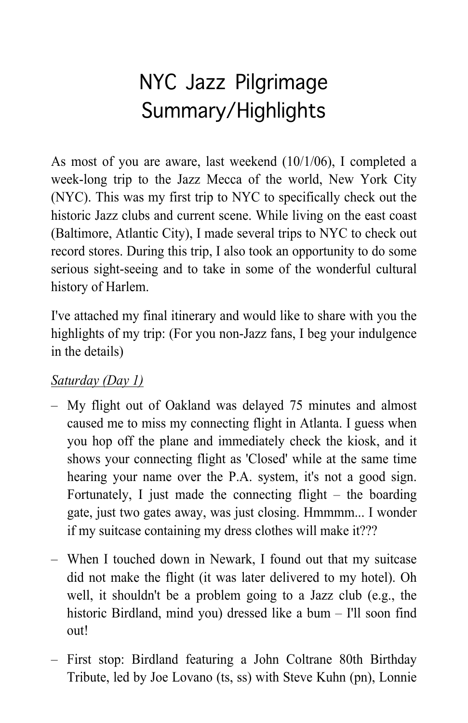# NYC Jazz Pilgrimage Summary/Highlights

As most of you are aware, last weekend (10/1/06), I completed a week-long trip to the Jazz Mecca of the world, New York City (NYC). This was my first trip to NYC to specifically check out the historic Jazz clubs and current scene. While living on the east coast (Baltimore, Atlantic City), I made several trips to NYC to check out record stores. During this trip, I also took an opportunity to do some serious sight-seeing and to take in some of the wonderful cultural history of Harlem.

I've attached my final itinerary and would like to share with you the highlights of my trip: (For you non-Jazz fans, I beg your indulgence in the details)

# *Saturday (Day 1)*

- My flight out of Oakland was delayed 75 minutes and almost caused me to miss my connecting flight in Atlanta. I guess when you hop off the plane and immediately check the kiosk, and it shows your connecting flight as 'Closed' while at the same time hearing your name over the P.A. system, it's not a good sign. Fortunately, I just made the connecting flight – the boarding gate, just two gates away, was just closing. Hmmmm... I wonder if my suitcase containing my dress clothes will make it???
- When I touched down in Newark, I found out that my suitcase did not make the flight (it was later delivered to my hotel). Oh well, it shouldn't be a problem going to a Jazz club (e.g., the historic Birdland, mind you) dressed like a bum - I'll soon find out!
- First stop: Birdland featuring a John Coltrane 80th Birthday Tribute, led by Joe Lovano (ts, ss) with Steve Kuhn (pn), Lonnie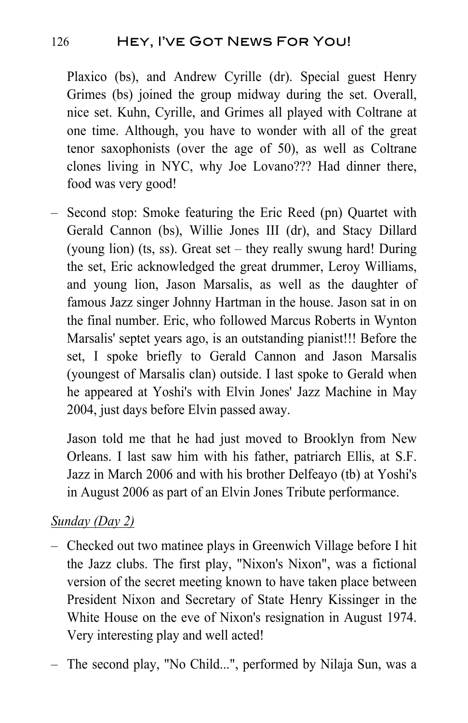## 126 Hey, I've Got News For You!

Plaxico (bs), and Andrew Cyrille (dr). Special guest Henry Grimes (bs) joined the group midway during the set. Overall, nice set. Kuhn, Cyrille, and Grimes all played with Coltrane at one time. Although, you have to wonder with all of the great tenor saxophonists (over the age of 50), as well as Coltrane clones living in NYC, why Joe Lovano??? Had dinner there, food was very good!

– Second stop: Smoke featuring the Eric Reed (pn) Quartet with Gerald Cannon (bs), Willie Jones III (dr), and Stacy Dillard (young lion) (ts, ss). Great set – they really swung hard! During the set, Eric acknowledged the great drummer, Leroy Williams, and young lion, Jason Marsalis, as well as the daughter of famous Jazz singer Johnny Hartman in the house. Jason sat in on the final number. Eric, who followed Marcus Roberts in Wynton Marsalis' septet years ago, is an outstanding pianist!!! Before the set, I spoke briefly to Gerald Cannon and Jason Marsalis (youngest of Marsalis clan) outside. I last spoke to Gerald when he appeared at Yoshi's with Elvin Jones' Jazz Machine in May 2004, just days before Elvin passed away.

Jason told me that he had just moved to Brooklyn from New Orleans. I last saw him with his father, patriarch Ellis, at S.F. Jazz in March 2006 and with his brother Delfeayo (tb) at Yoshi's in August 2006 as part of an Elvin Jones Tribute performance.

#### *Sunday (Day 2)*

- Checked out two matinee plays in Greenwich Village before I hit the Jazz clubs. The first play, "Nixon's Nixon", was a fictional version of the secret meeting known to have taken place between President Nixon and Secretary of State Henry Kissinger in the White House on the eve of Nixon's resignation in August 1974. Very interesting play and well acted!
- The second play, "No Child...", performed by Nilaja Sun, was a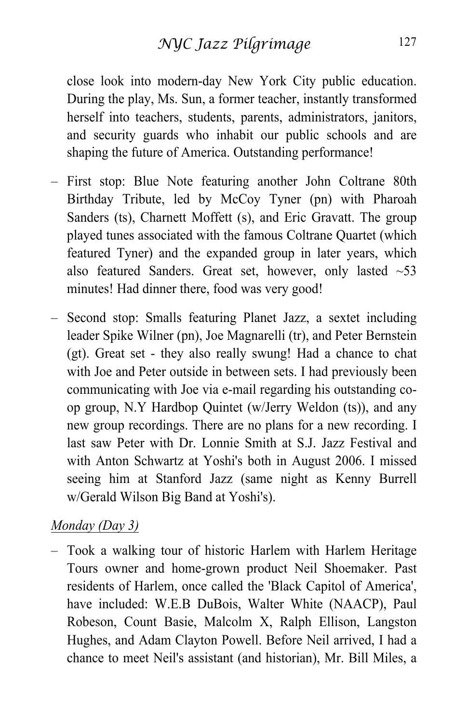close look into modern-day New York City public education. During the play, Ms. Sun, a former teacher, instantly transformed herself into teachers, students, parents, administrators, janitors, and security guards who inhabit our public schools and are shaping the future of America. Outstanding performance!

- First stop: Blue Note featuring another John Coltrane 80th Birthday Tribute, led by McCoy Tyner (pn) with Pharoah Sanders (ts), Charnett Moffett (s), and Eric Gravatt. The group played tunes associated with the famous Coltrane Quartet (which featured Tyner) and the expanded group in later years, which also featured Sanders. Great set, however, only lasted  $~53$ minutes! Had dinner there, food was very good!
- Second stop: Smalls featuring Planet Jazz, a sextet including leader Spike Wilner (pn), Joe Magnarelli (tr), and Peter Bernstein (gt). Great set - they also really swung! Had a chance to chat with Joe and Peter outside in between sets. I had previously been communicating with Joe via e-mail regarding his outstanding coop group, N.Y Hardbop Quintet (w/Jerry Weldon (ts)), and any new group recordings. There are no plans for a new recording. I last saw Peter with Dr. Lonnie Smith at S.J. Jazz Festival and with Anton Schwartz at Yoshi's both in August 2006. I missed seeing him at Stanford Jazz (same night as Kenny Burrell w/Gerald Wilson Big Band at Yoshi's).

#### *Monday (Day 3)*

– Took a walking tour of historic Harlem with Harlem Heritage Tours owner and home-grown product Neil Shoemaker. Past residents of Harlem, once called the 'Black Capitol of America', have included: W.E.B DuBois, Walter White (NAACP), Paul Robeson, Count Basie, Malcolm X, Ralph Ellison, Langston Hughes, and Adam Clayton Powell. Before Neil arrived, I had a chance to meet Neil's assistant (and historian), Mr. Bill Miles, a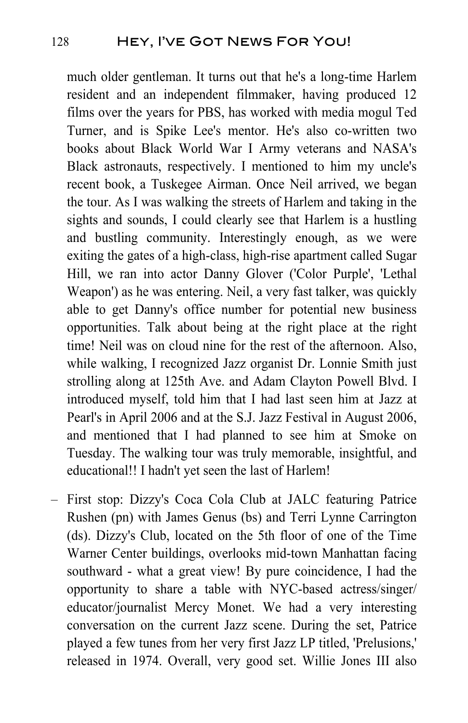much older gentleman. It turns out that he's a long-time Harlem resident and an independent filmmaker, having produced 12 films over the years for PBS, has worked with media mogul Ted Turner, and is Spike Lee's mentor. He's also co-written two books about Black World War I Army veterans and NASA's Black astronauts, respectively. I mentioned to him my uncle's recent book, a Tuskegee Airman. Once Neil arrived, we began the tour. As I was walking the streets of Harlem and taking in the sights and sounds, I could clearly see that Harlem is a hustling and bustling community. Interestingly enough, as we were exiting the gates of a high-class, high-rise apartment called Sugar Hill, we ran into actor Danny Glover ('Color Purple', 'Lethal Weapon') as he was entering. Neil, a very fast talker, was quickly able to get Danny's office number for potential new business opportunities. Talk about being at the right place at the right time! Neil was on cloud nine for the rest of the afternoon. Also, while walking, I recognized Jazz organist Dr. Lonnie Smith just strolling along at 125th Ave. and Adam Clayton Powell Blvd. I introduced myself, told him that I had last seen him at Jazz at Pearl's in April 2006 and at the S.J. Jazz Festival in August 2006, and mentioned that I had planned to see him at Smoke on Tuesday. The walking tour was truly memorable, insightful, and educational!! I hadn't yet seen the last of Harlem!

– First stop: Dizzy's Coca Cola Club at JALC featuring Patrice Rushen (pn) with James Genus (bs) and Terri Lynne Carrington (ds). Dizzy's Club, located on the 5th floor of one of the Time Warner Center buildings, overlooks mid-town Manhattan facing southward - what a great view! By pure coincidence, I had the opportunity to share a table with NYC-based actress/singer/ educator/journalist Mercy Monet. We had a very interesting conversation on the current Jazz scene. During the set, Patrice played a few tunes from her very first Jazz LP titled, 'Prelusions,' released in 1974. Overall, very good set. Willie Jones III also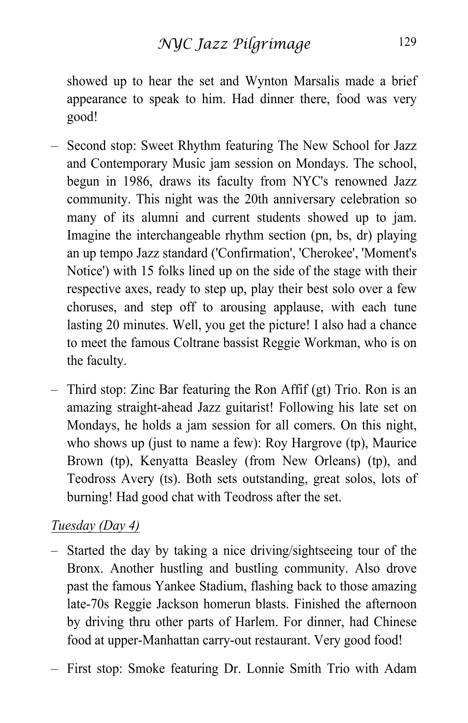showed up to hear the set and Wynton Marsalis made a brief appearance to speak to him. Had dinner there, food was very good!

- Second stop: Sweet Rhythm featuring The New School for Jazz and Contemporary Music jam session on Mondays. The school, begun in 1986, draws its faculty from NYC's renowned Jazz community. This night was the 20th anniversary celebration so many of its alumni and current students showed up to jam. Imagine the interchangeable rhythm section (pn, bs, dr) playing an up tempo Jazz standard ('Confirmation', 'Cherokee', 'Moment's Notice') with 15 folks lined up on the side of the stage with their respective axes, ready to step up, play their best solo over a few choruses, and step off to arousing applause, with each tune lasting 20 minutes. Well, you get the picture! I also had a chance to meet the famous Coltrane bassist Reggie Workman, who is on the faculty.
- Third stop: Zinc Bar featuring the Ron Affif (gt) Trio. Ron is an amazing straight-ahead Jazz guitarist! Following his late set on Mondays, he holds a jam session for all comers. On this night, who shows up (just to name a few): Roy Hargrove (tp), Maurice Brown (tp), Kenyatta Beasley (from New Orleans) (tp), and Teodross Avery (ts). Both sets outstanding, great solos, lots of burning! Had good chat with Teodross after the set.

#### *Tuesday (Day 4)*

- Started the day by taking a nice driving/sightseeing tour of the Bronx. Another hustling and bustling community. Also drove past the famous Yankee Stadium, flashing back to those amazing late-70s Reggie Jackson homerun blasts. Finished the afternoon by driving thru other parts of Harlem. For dinner, had Chinese food at upper-Manhattan carry-out restaurant. Very good food!
- First stop: Smoke featuring Dr. Lonnie Smith Trio with Adam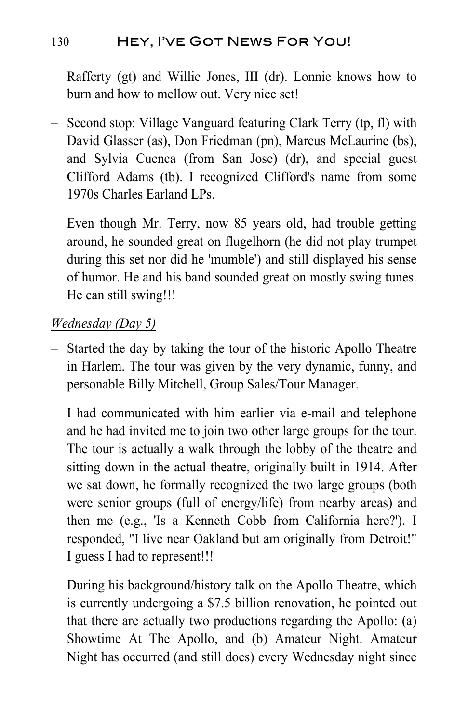## 130 Hey, I've Got News For You!

Rafferty (gt) and Willie Jones, III (dr). Lonnie knows how to burn and how to mellow out. Very nice set!

– Second stop: Village Vanguard featuring Clark Terry (tp, fl) with David Glasser (as), Don Friedman (pn), Marcus McLaurine (bs), and Sylvia Cuenca (from San Jose) (dr), and special guest Clifford Adams (tb). I recognized Clifford's name from some 1970s Charles Earland LPs.

Even though Mr. Terry, now 85 years old, had trouble getting around, he sounded great on flugelhorn (he did not play trumpet during this set nor did he 'mumble') and still displayed his sense of humor. He and his band sounded great on mostly swing tunes. He can still swing!!!

#### *Wednesday (Day 5)*

– Started the day by taking the tour of the historic Apollo Theatre in Harlem. The tour was given by the very dynamic, funny, and personable Billy Mitchell, Group Sales/Tour Manager.

I had communicated with him earlier via e-mail and telephone and he had invited me to join two other large groups for the tour. The tour is actually a walk through the lobby of the theatre and sitting down in the actual theatre, originally built in 1914. After we sat down, he formally recognized the two large groups (both were senior groups (full of energy/life) from nearby areas) and then me (e.g., 'Is a Kenneth Cobb from California here?'). I responded, "I live near Oakland but am originally from Detroit!" I guess I had to represent!!!

During his background/history talk on the Apollo Theatre, which is currently undergoing a \$7.5 billion renovation, he pointed out that there are actually two productions regarding the Apollo: (a) Showtime At The Apollo, and (b) Amateur Night. Amateur Night has occurred (and still does) every Wednesday night since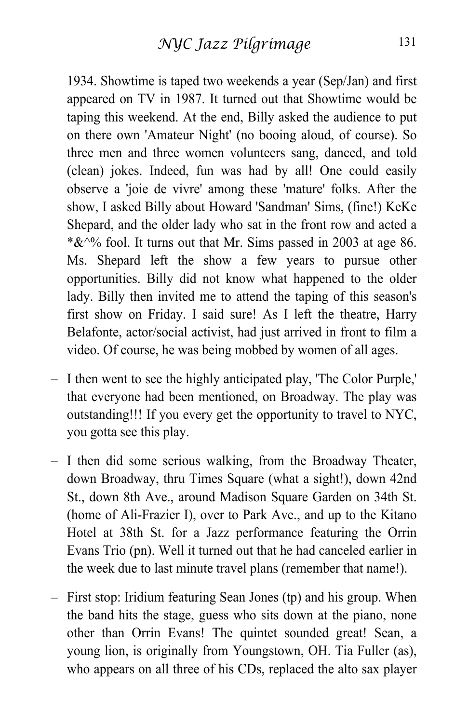1934. Showtime is taped two weekends a year (Sep/Jan) and first appeared on TV in 1987. It turned out that Showtime would be taping this weekend. At the end, Billy asked the audience to put on there own 'Amateur Night' (no booing aloud, of course). So three men and three women volunteers sang, danced, and told (clean) jokes. Indeed, fun was had by all! One could easily observe a 'joie de vivre' among these 'mature' folks. After the show, I asked Billy about Howard 'Sandman' Sims, (fine!) KeKe Shepard, and the older lady who sat in the front row and acted a  $*&0.6$  fool. It turns out that Mr. Sims passed in 2003 at age 86. Ms. Shepard left the show a few years to pursue other opportunities. Billy did not know what happened to the older lady. Billy then invited me to attend the taping of this season's first show on Friday. I said sure! As I left the theatre, Harry Belafonte, actor/social activist, had just arrived in front to film a video. Of course, he was being mobbed by women of all ages.

- I then went to see the highly anticipated play, 'The Color Purple,' that everyone had been mentioned, on Broadway. The play was outstanding!!! If you every get the opportunity to travel to NYC, you gotta see this play.
- I then did some serious walking, from the Broadway Theater, down Broadway, thru Times Square (what a sight!), down 42nd St., down 8th Ave., around Madison Square Garden on 34th St. (home of Ali-Frazier I), over to Park Ave., and up to the Kitano Hotel at 38th St. for a Jazz performance featuring the Orrin Evans Trio (pn). Well it turned out that he had canceled earlier in the week due to last minute travel plans (remember that name!).
- First stop: Iridium featuring Sean Jones (tp) and his group. When the band hits the stage, guess who sits down at the piano, none other than Orrin Evans! The quintet sounded great! Sean, a young lion, is originally from Youngstown, OH. Tia Fuller (as), who appears on all three of his CDs, replaced the alto sax player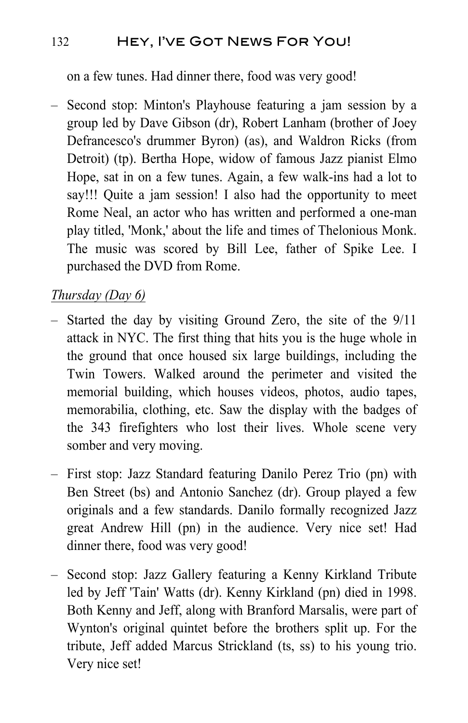## 132 HEY, I'VE GOT NEWS FOR YOU!

on a few tunes. Had dinner there, food was very good!

– Second stop: Minton's Playhouse featuring a jam session by a group led by Dave Gibson (dr), Robert Lanham (brother of Joey Defrancesco's drummer Byron) (as), and Waldron Ricks (from Detroit) (tp). Bertha Hope, widow of famous Jazz pianist Elmo Hope, sat in on a few tunes. Again, a few walk-ins had a lot to say!!! Quite a jam session! I also had the opportunity to meet Rome Neal, an actor who has written and performed a one-man play titled, 'Monk,' about the life and times of Thelonious Monk. The music was scored by Bill Lee, father of Spike Lee. I purchased the DVD from Rome.

### *Thursday (Day 6)*

- Started the day by visiting Ground Zero, the site of the 9/11 attack in NYC. The first thing that hits you is the huge whole in the ground that once housed six large buildings, including the Twin Towers. Walked around the perimeter and visited the memorial building, which houses videos, photos, audio tapes, memorabilia, clothing, etc. Saw the display with the badges of the 343 firefighters who lost their lives. Whole scene very somber and very moving.
- First stop: Jazz Standard featuring Danilo Perez Trio (pn) with Ben Street (bs) and Antonio Sanchez (dr). Group played a few originals and a few standards. Danilo formally recognized Jazz great Andrew Hill (pn) in the audience. Very nice set! Had dinner there, food was very good!
- Second stop: Jazz Gallery featuring a Kenny Kirkland Tribute led by Jeff 'Tain' Watts (dr). Kenny Kirkland (pn) died in 1998. Both Kenny and Jeff, along with Branford Marsalis, were part of Wynton's original quintet before the brothers split up. For the tribute, Jeff added Marcus Strickland (ts, ss) to his young trio. Very nice set!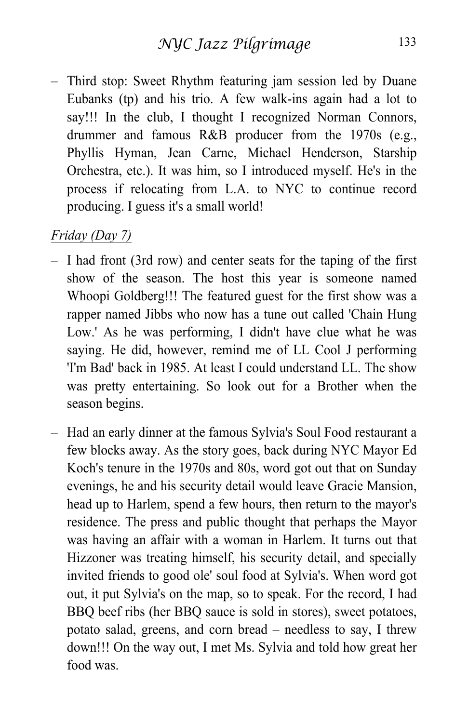– Third stop: Sweet Rhythm featuring jam session led by Duane Eubanks (tp) and his trio. A few walk-ins again had a lot to say!!! In the club, I thought I recognized Norman Connors, drummer and famous R&B producer from the 1970s (e.g., Phyllis Hyman, Jean Carne, Michael Henderson, Starship Orchestra, etc.). It was him, so I introduced myself. He's in the process if relocating from L.A. to NYC to continue record producing. I guess it's a small world!

#### *Friday (Day 7)*

- I had front (3rd row) and center seats for the taping of the first show of the season. The host this year is someone named Whoopi Goldberg!!! The featured guest for the first show was a rapper named Jibbs who now has a tune out called 'Chain Hung Low.' As he was performing, I didn't have clue what he was saying. He did, however, remind me of LL Cool J performing 'I'm Bad' back in 1985. At least I could understand LL. The show was pretty entertaining. So look out for a Brother when the season begins.
- Had an early dinner at the famous Sylvia's Soul Food restaurant a few blocks away. As the story goes, back during NYC Mayor Ed Koch's tenure in the 1970s and 80s, word got out that on Sunday evenings, he and his security detail would leave Gracie Mansion, head up to Harlem, spend a few hours, then return to the mayor's residence. The press and public thought that perhaps the Mayor was having an affair with a woman in Harlem. It turns out that Hizzoner was treating himself, his security detail, and specially invited friends to good ole' soul food at Sylvia's. When word got out, it put Sylvia's on the map, so to speak. For the record, I had BBQ beef ribs (her BBQ sauce is sold in stores), sweet potatoes, potato salad, greens, and corn bread – needless to say, I threw down!!! On the way out, I met Ms. Sylvia and told how great her food was.